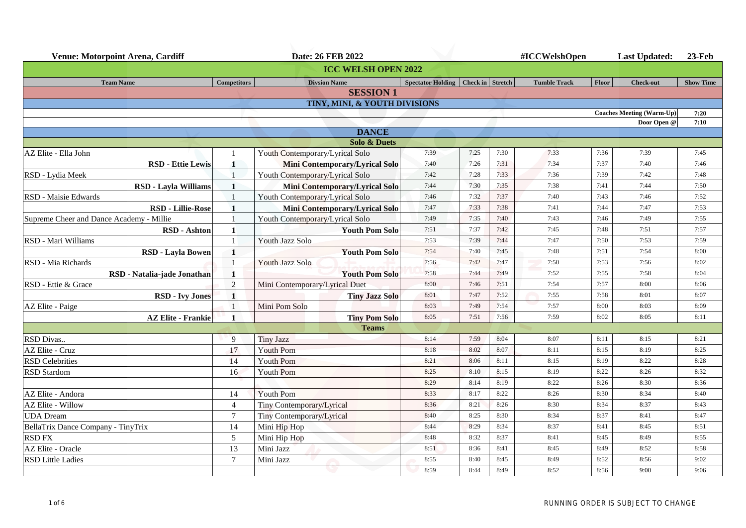| <b>Venue: Motorpoint Arena, Cardiff</b>  |                                | Date: 26 FEB 2022                        |                                        |      |      | #ICCWelshOpen       |              | <b>Last Updated:</b>             | $23$ -Feb        |
|------------------------------------------|--------------------------------|------------------------------------------|----------------------------------------|------|------|---------------------|--------------|----------------------------------|------------------|
|                                          |                                | <b>ICC WELSH OPEN 2022</b>               |                                        |      |      |                     |              |                                  |                  |
| <b>Team Name</b>                         | <b>Competitors</b>             | <b>Divsion Name</b>                      | Spectator Holding   Check in   Stretch |      |      | <b>Tumble Track</b> | Floor        | <b>Check-out</b>                 | <b>Show Time</b> |
|                                          |                                | <b>SESSION1</b>                          |                                        |      |      |                     |              |                                  |                  |
|                                          |                                | <b>TINY, MINI, &amp; YOUTH DIVISIONS</b> |                                        |      |      |                     |              |                                  |                  |
|                                          |                                |                                          |                                        |      |      |                     |              | <b>Coaches Meeting (Warm-Up)</b> | 7:20             |
|                                          |                                |                                          |                                        |      |      |                     |              | Door Open @                      | 7:10             |
|                                          |                                | <b>DANCE</b>                             |                                        |      |      |                     |              |                                  |                  |
|                                          |                                | <b>Solo &amp; Duets</b>                  | 7:39                                   | 7:25 | 7:30 |                     |              |                                  | 7:45             |
| AZ Elite - Ella John                     |                                | Youth Contemporary/Lyrical Solo          | 7:40                                   | 7:26 | 7:31 | 7:33<br>7:34        | 7:36<br>7:37 | 7:39<br>7:40                     | 7:46             |
| <b>RSD - Ettie Lewis</b>                 | 1                              | <b>Mini Contemporary/Lyrical Solo</b>    | 7:42                                   | 7:28 | 7:33 | 7:36                | 7:39         | 7:42                             | 7:48             |
| RSD - Lydia Meek                         |                                | Youth Contemporary/Lyrical Solo          |                                        |      |      |                     |              |                                  |                  |
| <b>RSD - Layla Williams</b>              | $\mathbf{1}$<br>$\overline{1}$ | <b>Mini Contemporary/Lyrical Solo</b>    | 7:44                                   | 7:30 | 7:35 | 7:38                | 7:41         | 7:44                             | 7:50             |
| RSD - Maisie Edwards                     |                                | Youth Contemporary/Lyrical Solo          | 7:46                                   | 7:32 | 7:37 | 7:40                | 7:43         | 7:46                             | 7:52             |
| <b>RSD - Lillie-Rose</b>                 | $\mathbf{1}$                   | <b>Mini Contemporary/Lyrical Solo</b>    | 7:47                                   | 7:33 | 7:38 | 7:41                | 7:44         | 7:47                             | 7:53             |
| Supreme Cheer and Dance Academy - Millie |                                | Youth Contemporary/Lyrical Solo          | 7:49                                   | 7:35 | 7:40 | 7:43                | 7:46         | 7:49                             | 7:55             |
| <b>RSD</b> - Ashton                      | 1                              | <b>Youth Pom Solo</b>                    | 7:51                                   | 7:37 | 7:42 | 7:45                | 7:48         | 7:51                             | 7:57             |
| RSD - Mari Williams                      |                                | Youth Jazz Solo                          | 7:53                                   | 7:39 | 7:44 | 7:47                | 7:50         | 7:53                             | 7:59             |
| <b>RSD - Layla Bowen</b>                 | 1                              | <b>Youth Pom Solo</b>                    | 7:54                                   | 7:40 | 7:45 | 7:48                | 7:51         | 7:54                             | 8:00             |
| RSD - Mia Richards                       |                                | Youth Jazz Solo                          | 7:56                                   | 7:42 | 7:47 | 7:50                | 7:53         | 7:56                             | 8:02             |
| RSD - Natalia-jade Jonathan              | $\mathbf{1}$                   | <b>Youth Pom Solo</b>                    | 7:58                                   | 7:44 | 7:49 | 7:52                | 7:55         | 7:58                             | 8:04             |
| RSD - Ettie & Grace                      | $\overline{2}$                 | Mini Contemporary/Lyrical Duet           | 8:00                                   | 7:46 | 7:51 | 7:54                | 7:57         | 8:00                             | 8:06             |
| <b>RSD - Ivy Jones</b>                   | $\mathbf{1}$                   | <b>Tiny Jazz Solo</b>                    | 8:01                                   | 7:47 | 7:52 | 7:55                | 7:58         | 8:01                             | 8:07             |
| AZ Elite - Paige                         |                                | Mini Pom Solo                            | 8:03                                   | 7:49 | 7:54 | 7:57                | 8:00         | 8:03                             | 8:09             |
| <b>AZ Elite - Frankie</b>                | $\blacksquare$                 | <b>Tiny Pom Solo</b>                     | 8:05                                   | 7:51 | 7:56 | 7:59                | 8:02         | 8:05                             | 8:11             |
|                                          |                                | <b>Teams</b>                             |                                        |      |      |                     |              |                                  |                  |
| RSD Divas                                | 9                              | <b>Tiny Jazz</b>                         | 8:14                                   | 7:59 | 8:04 | 8:07                | 8:11         | 8:15                             | 8:21             |
| AZ Elite - Cruz                          | 17                             | <b>Youth Pom</b>                         | 8:18                                   | 8:02 | 8:07 | 8:11                | 8:15         | 8:19                             | 8:25             |
| <b>RSD Celebrities</b>                   | 14                             | Youth Pom                                | 8:21                                   | 8:06 | 8:11 | 8:15                | 8:19         | 8:22                             | 8:28             |
| <b>RSD</b> Stardom                       | 16                             | <b>Youth Pom</b>                         | 8:25                                   | 8:10 | 8:15 | 8:19                | 8:22         | 8:26                             | 8:32             |
|                                          |                                |                                          | 8:29                                   | 8:14 | 8:19 | 8:22                | 8:26         | 8:30                             | 8:36             |
| AZ Elite - Andora                        | 14                             | <b>Youth Pom</b>                         | 8:33                                   | 8:17 | 8:22 | 8:26                | 8:30         | 8:34                             | 8:40             |
| <b>AZ Elite - Willow</b>                 | $\overline{4}$                 | Tiny Contemporary/Lyrical                | 8:36                                   | 8:21 | 8:26 | 8:30                | 8:34         | 8:37                             | 8:43             |
| <b>UDA</b> Dream                         | $\overline{7}$                 | Tiny Contemporary/Lyrical                | 8:40                                   | 8:25 | 8:30 | 8:34                | 8:37         | 8:41                             | 8:47             |
| BellaTrix Dance Company - TinyTrix       | 14                             | Mini Hip Hop                             | 8:44                                   | 8:29 | 8:34 | 8:37                | 8:41         | 8:45                             | 8:51             |
| <b>RSD FX</b>                            | $\mathfrak{S}$                 | Mini Hip Hop                             | 8:48                                   | 8:32 | 8:37 | 8:41                | 8:45         | 8:49                             | 8:55             |
| AZ Elite - Oracle                        | 13                             | Mini Jazz                                | 8:51                                   | 8:36 | 8:41 | 8:45                | 8:49         | 8:52                             | 8:58             |
| <b>RSD Little Ladies</b>                 | $7\phantom{.0}$                | Mini Jazz                                | 8:55                                   | 8:40 | 8:45 | 8:49                | 8:52         | 8:56                             | 9:02             |
|                                          |                                |                                          | 8:59                                   | 8:44 | 8:49 | 8:52                | 8:56         | 9:00                             | 9:06             |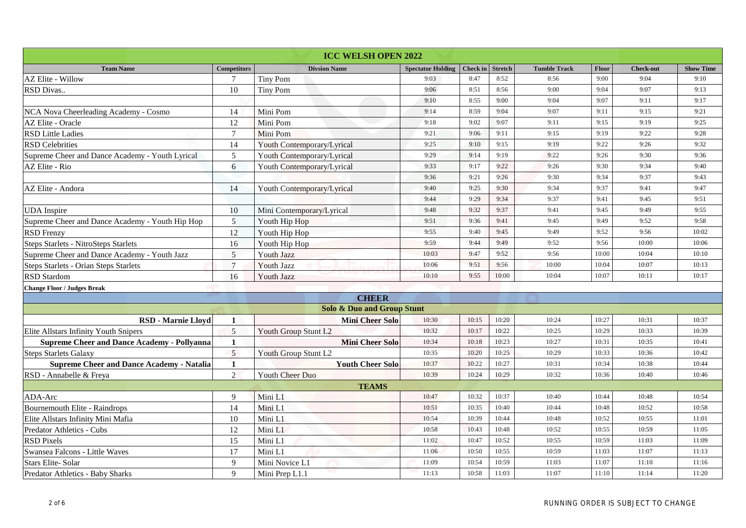|                                                    |                    | <b>ICC WELSH OPEN 2022</b>            |                          |          |                |                     |       |                  |                  |
|----------------------------------------------------|--------------------|---------------------------------------|--------------------------|----------|----------------|---------------------|-------|------------------|------------------|
| <b>Team Name</b>                                   | <b>Competitors</b> | <b>Divsion Name</b>                   | <b>Spectator Holding</b> | Check in | <b>Stretch</b> | <b>Tumble Track</b> | Floor | <b>Check-out</b> | <b>Show Time</b> |
| <b>AZ Elite - Willow</b>                           | $\overline{7}$     | <b>Tiny Pom</b>                       | 9:03                     | 8:47     | 8:52           | 8:56                | 9:00  | 9:04             | 9:10             |
| RSD Divas                                          | 10                 | <b>Tiny Pom</b>                       | 9:06                     | 8:51     | 8:56           | 9:00                | 9:04  | 9:07             | 9:13             |
|                                                    |                    |                                       | 9:10                     | 8:55     | 9:00           | 9:04                | 9:07  | 9:11             | 9:17             |
| NCA Nova Cheerleading Academy - Cosmo              | 14                 | Mini Pom                              | 9:14                     | 8:59     | 9:04           | 9:07                | 9:11  | 9:15             | 9:21             |
| AZ Elite - Oracle                                  | 12                 | Mini Pom                              | 9:18                     | 9:02     | 9:07           | 9:11                | 9:15  | 9:19             | 9:25             |
| <b>RSD Little Ladies</b>                           | $\overline{7}$     | Mini Pom                              | 9:21                     | 9:06     | 9:11           | 9:15                | 9:19  | 9:22             | 9:28             |
| <b>RSD</b> Celebrities                             | 14                 | Youth Contemporary/Lyrical            | 9:25                     | 9:10     | 9:15           | 9:19                | 9:22  | 9:26             | 9:32             |
| Supreme Cheer and Dance Academy - Youth Lyrical    | 5                  | Youth Contemporary/Lyrical            | 9:29                     | 9:14     | 9:19           | 9:22                | 9:26  | 9:30             | 9:36             |
| AZ Elite - Rio                                     | $6\,$              | Youth Contemporary/Lyrical            | 9:33                     | 9:17     | 9:22           | 9:26                | 9:30  | 9:34             | 9:40             |
|                                                    |                    |                                       | 9:36                     | 9:21     | 9:26           | 9:30                | 9:34  | 9:37             | 9:43             |
| AZ Elite - Andora                                  | 14                 | Youth Contemporary/Lyrical            | 9:40                     | 9:25     | 9:30           | 9:34                | 9:37  | 9:41             | 9:47             |
|                                                    |                    |                                       | 9:44                     | 9:29     | 9:34           | 9:37                | 9:41  | 9:45             | 9:51             |
| <b>UDA</b> Inspire                                 | 10                 | Mini Contemporary/Lyrical             | 9:48                     | 9:32     | 9:37           | 9:41                | 9:45  | 9:49             | 9:55             |
| Supreme Cheer and Dance Academy - Youth Hip Hop    | 5                  | Youth Hip Hop                         | 9:51                     | 9:36     | 9:41           | 9:45                | 9:49  | 9:52             | 9:58             |
| <b>RSD</b> Frenzy                                  | 12                 | Youth Hip Hop                         | 9:55                     | 9:40     | 9:45           | 9:49                | 9:52  | 9:56             | 10:02            |
| <b>Steps Starlets - NitroSteps Starlets</b>        | 16                 | Youth Hip Hop                         | 9:59                     | 9:44     | 9:49           | 9:52                | 9:56  | 10:00            | 10:06            |
| Supreme Cheer and Dance Academy - Youth Jazz       | 5                  | <b>Youth Jazz</b>                     | 10:03                    | 9:47     | 9:52           | 9:56                | 10:00 | 10:04            | 10:10            |
| Steps Starlets - Orian Steps Starlets              | $\overline{7}$     | Youth Jazz                            | 10:06                    | 9:51     | 9:56           | 10:00               | 10:04 | 10:07            | 10:13            |
| <b>RSD</b> Stardom                                 | 16                 | <b>Youth Jazz</b>                     | 10:10                    | 9:55     | 10:00          | 10:04               | 10:07 | 10:11            | 10:17            |
| <b>Change Floor / Judges Break</b>                 |                    |                                       |                          |          |                |                     |       |                  |                  |
|                                                    |                    | <b>CHEER</b>                          |                          |          |                |                     |       |                  |                  |
|                                                    |                    | <b>Solo &amp; Duo and Group Stunt</b> |                          |          |                |                     |       |                  |                  |
| <b>RSD - Marnie Lloyd</b>                          | $\mathbf{1}$       | <b>Mini Cheer Solo</b>                | 10:30                    | 10:15    | 10:20          | 10:24               | 10:27 | 10:31            | 10:37            |
| Elite Allstars Infinity Youth Snipers              | 5                  | Youth Group Stunt L2                  | 10:32                    | 10:17    | 10:22          | 10:25               | 10:29 | 10:33            | 10:39            |
| <b>Supreme Cheer and Dance Academy - Pollyanna</b> | $\mathbf{1}$       | <b>Mini Cheer Solo</b>                | 10:34                    | 10:18    | 10:23          | 10:27               | 10:31 | 10:35            | 10:41            |
| <b>Steps Starlets Galaxy</b>                       | 5                  | Youth Group Stunt L2                  | 10:35                    | 10:20    | 10:25          | 10:29               | 10:33 | 10:36            | 10:42            |
| <b>Supreme Cheer and Dance Academy - Natalia</b>   | 1                  | <b>Youth Cheer Solo</b>               | 10:37                    | 10:22    | 10:27          | 10:31               | 10:34 | 10:38            | 10:44            |
| RSD - Annabelle & Freya                            | $\overline{2}$     | <b>Youth Cheer Duo</b>                | 10:39                    | 10:24    | 10:29          | 10:32               | 10:36 | 10:40            | 10:46            |
|                                                    |                    | <b>TEAMS</b>                          |                          |          |                |                     |       |                  |                  |
| ADA-Arc                                            | 9                  | Mini L1                               | 10:47                    | 10:32    | 10:37          | 10:40               | 10:44 | 10:48            | 10:54            |
| Bournemouth Elite - Raindrops                      | 14                 | Mini L1                               | 10:51                    | 10:35    | 10:40          | 10:44               | 10:48 | 10:52            | 10:58            |
| Elite Allstars Infinity Mini Mafia                 | 10                 | Mini L1                               | 10:54                    | 10:39    | 10:44          | 10:48               | 10:52 | 10:55            | 11:01            |
| Predator Athletics - Cubs                          | 12                 | Mini L1                               | 10:58                    | 10:43    | 10:48          | 10:52               | 10:55 | 10:59            | 11:05            |
| <b>RSD Pixels</b>                                  | 15                 | Mini L1                               | 11:02                    | 10:47    | 10:52          | 10:55               | 10:59 | 11:03            | 11:09            |
| Swansea Falcons - Little Waves                     | 17                 | Mini L1                               | 11:06                    | 10:50    | 10:55          | 10:59               | 11:03 | 11:07            | 11:13            |
| <b>Stars Elite-Solar</b>                           | 9                  | Mini Novice L1                        | 11:09                    | 10:54    | 10:59          | 11:03               | 11:07 | 11:10            | 11:16            |
| Predator Athletics - Baby Sharks                   | 9                  | Mini Prep L1.1                        | 11:13                    | 10:58    | 11:03          | 11:07               | 11:10 | 11:14            | 11:20            |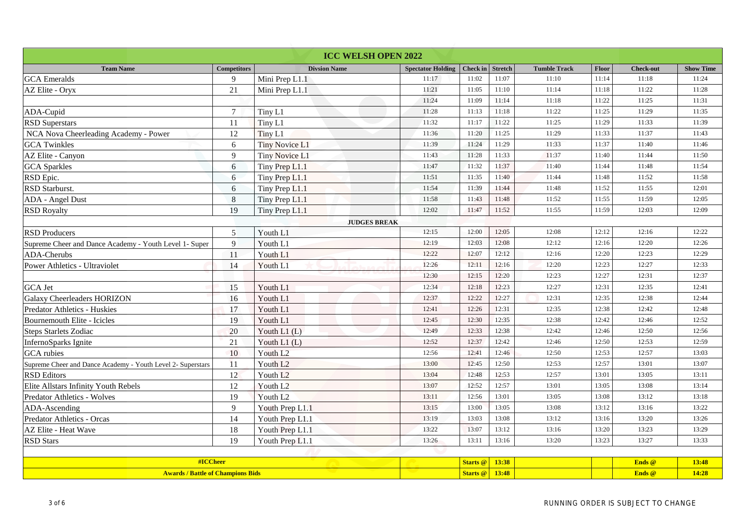| <b>ICC WELSH OPEN 2022</b>                                  |                    |                       |                          |                 |                |                     |       |                  |                  |
|-------------------------------------------------------------|--------------------|-----------------------|--------------------------|-----------------|----------------|---------------------|-------|------------------|------------------|
| <b>Team Name</b>                                            | <b>Competitors</b> | <b>Divsion Name</b>   | <b>Spectator Holding</b> | <b>Check in</b> | <b>Stretch</b> | <b>Tumble Track</b> | Floor | <b>Check-out</b> | <b>Show Time</b> |
| <b>GCA</b> Emeralds                                         | 9                  | Mini Prep L1.1        | 11:17                    | 11:02           | 11:07          | 11:10               | 11:14 | 11:18            | 11:24            |
| AZ Elite - Oryx                                             | 21                 | Mini Prep L1.1        | 11:21                    | 11:05           | 11:10          | 11:14               | 11:18 | 11:22            | 11:28            |
|                                                             |                    |                       | 11:24                    | 11:09           | 11:14          | 11:18               | 11:22 | 11:25            | 11:31            |
| ADA-Cupid                                                   | $\tau$             | Tiny L1               | 11:28                    | 11:13           | 11:18          | 11:22               | 11:25 | 11:29            | 11:35            |
| <b>RSD Superstars</b>                                       | 11                 | Tiny L1               | 11:32                    | 11:17           | 11:22          | 11:25               | 11:29 | 11:33            | 11:39            |
| NCA Nova Cheerleading Academy - Power                       | $12\,$             | Tiny L1               | 11:36                    | 11:20           | 11:25          | 11:29               | 11:33 | 11:37            | 11:43            |
| <b>GCA</b> Twinkles                                         | 6                  | <b>Tiny Novice L1</b> | 11:39                    | 11:24           | 11:29          | 11:33               | 11:37 | 11:40            | 11:46            |
| AZ Elite - Canyon                                           | 9                  | <b>Tiny Novice L1</b> | 11:43                    | 11:28           | 11:33          | 11:37               | 11:40 | 11:44            | 11:50            |
| <b>GCA</b> Sparkles                                         | $6\,$              | Tiny Prep L1.1        | 11:47                    | 11:32           | 11:37          | 11:40               | 11:44 | 11:48            | 11:54            |
| RSD Epic.                                                   | 6                  | Tiny Prep L1.1        | 11:51                    | 11:35           | 11:40          | 11:44               | 11:48 | 11:52            | 11:58            |
| RSD Starburst.                                              | $6\,$              | Tiny Prep L1.1        | 11:54                    | 11:39           | 11:44          | 11:48               | 11:52 | 11:55            | 12:01            |
| ADA - Angel Dust                                            | 8                  | Tiny Prep L1.1        | 11:58                    | 11:43           | 11:48          | 11:52               | 11:55 | 11:59            | 12:05            |
| <b>RSD Royalty</b>                                          | 19                 | Tiny Prep L1.1        | 12:02                    | 11:47           | 11:52          | 11:55               | 11:59 | 12:03            | 12:09            |
|                                                             |                    | <b>JUDGES BREAK</b>   |                          |                 |                |                     |       |                  |                  |
| <b>RSD Producers</b>                                        | 5                  | Youth L1              | 12:15                    | 12:00           | 12:05          | 12:08               | 12:12 | 12:16            | 12:22            |
| Supreme Cheer and Dance Academy - Youth Level 1- Super      | 9                  | Youth L1              | 12:19                    | 12:03           | 12:08          | 12:12               | 12:16 | 12:20            | 12:26            |
| ADA-Cherubs                                                 | 11                 | Youth L1              | 12:22                    | 12:07           | 12:12          | 12:16               | 12:20 | 12:23            | 12:29            |
| Power Athletics - Ultraviolet                               | 14                 | Youth L1              | 12:26                    | 12:11           | 12:16          | 12:20               | 12:23 | 12:27            | 12:33            |
|                                                             |                    |                       | 12:30                    | 12:15           | 12:20          | 12:23               | 12:27 | 12:31            | 12:37            |
| <b>GCA</b> Jet                                              | 15                 | Youth L1              | 12:34                    | 12:18           | 12:23          | 12:27               | 12:31 | 12:35            | 12:41            |
| <b>Galaxy Cheerleaders HORIZON</b>                          | 16                 | Youth L1              | 12:37                    | 12:22           | 12:27          | 12:31               | 12:35 | 12:38            | 12:44            |
| Predator Athletics - Huskies                                | 17                 | Youth L1              | 12:41                    | 12:26           | 12:31          | 12:35               | 12:38 | 12:42            | 12:48            |
| Bournemouth Elite - Icicles                                 | 19                 | Youth L1              | 12:45                    | 12:30           | 12:35          | 12:38               | 12:42 | 12:46            | 12:52            |
| <b>Steps Starlets Zodiac</b>                                | 20                 | Youth L1 (L)          | 12:49                    | 12:33           | 12:38          | 12:42               | 12:46 | 12:50            | 12:56            |
| InfernoSparks Ignite                                        | 21                 | Youth $L1(L)$         | 12:52                    | 12:37           | 12:42          | 12:46               | 12:50 | 12:53            | 12:59            |
| <b>GCA</b> rubies                                           | 10                 | Youth L <sub>2</sub>  | 12:56                    | 12:41           | 12:46          | 12:50               | 12:53 | 12:57            | 13:03            |
| Supreme Cheer and Dance Academy - Youth Level 2- Superstars | 11                 | Youth L <sub>2</sub>  | 13:00                    | 12:45           | 12:50          | 12:53               | 12:57 | 13:01            | 13:07            |
| <b>RSD</b> Editors                                          | 12                 | Youth L <sub>2</sub>  | 13:04                    | 12:48           | 12:53          | 12:57               | 13:01 | 13:05            | 13:11            |
| Elite Allstars Infinity Youth Rebels                        | 12                 | Youth L <sub>2</sub>  | 13:07                    | 12:52           | 12:57          | 13:01               | 13:05 | 13:08            | 13:14            |
| Predator Athletics - Wolves                                 | 19                 | Youth L <sub>2</sub>  | 13:11                    | 12:56           | 13:01          | 13:05               | 13:08 | 13:12            | 13:18            |
| ADA-Ascending                                               | 9                  | Youth Prep L1.1       | 13:15                    | 13:00           | 13:05          | 13:08               | 13:12 | 13:16            | 13:22            |
| Predator Athletics - Orcas                                  | 14                 | Youth Prep L1.1       | 13:19                    | 13:03           | 13:08          | 13:12               | 13:16 | 13:20            | 13:26            |
| AZ Elite - Heat Wave                                        | 18                 | Youth Prep L1.1       | 13:22                    | 13:07           | 13:12          | 13:16               | 13:20 | 13:23            | 13:29            |
| <b>RSD</b> Stars                                            | 19                 | Youth Prep L1.1       | 13:26                    | 13:11           | 13:16          | 13:20               | 13:23 | 13:27            | 13:33            |
|                                                             |                    |                       |                          |                 |                |                     |       |                  |                  |
|                                                             | #ICCheer           |                       |                          | <b>Starts</b> @ | 13:38          |                     |       | Ends @           | 13:48            |
| <b>Awards / Battle of Champions Bids</b>                    |                    |                       |                          | Starts @        | 13:48          |                     |       | Ends @           | 14:28            |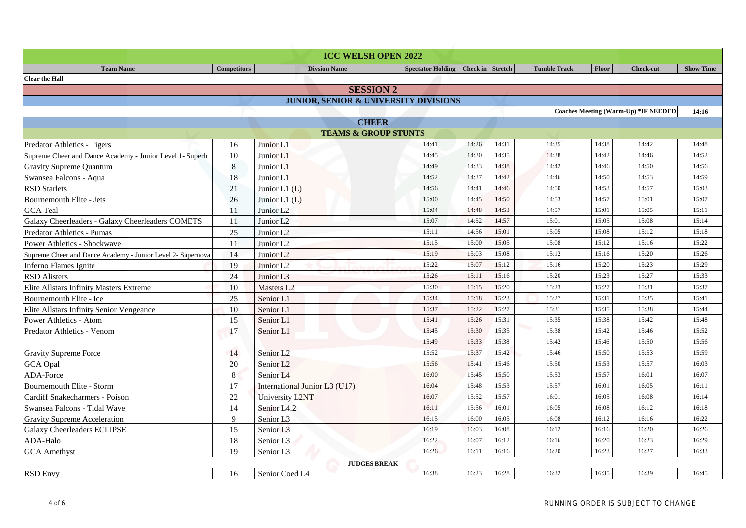|                                                             |                    | <b>ICC WELSH OPEN 2022</b>                       |                                      |       |       |                     |       |                                             |                  |
|-------------------------------------------------------------|--------------------|--------------------------------------------------|--------------------------------------|-------|-------|---------------------|-------|---------------------------------------------|------------------|
| <b>Team Name</b>                                            | <b>Competitors</b> | <b>Divsion Name</b>                              | Spectator Holding   Check in Stretch |       |       | <b>Tumble Track</b> | Floor | <b>Check-out</b>                            | <b>Show Time</b> |
| <b>Clear the Hall</b>                                       |                    |                                                  |                                      |       |       |                     |       |                                             |                  |
|                                                             |                    | <b>SESSION 2</b>                                 |                                      |       |       |                     |       |                                             |                  |
|                                                             |                    | <b>JUNIOR, SENIOR &amp; UNIVERSITY DIVISIONS</b> |                                      |       |       |                     |       |                                             |                  |
|                                                             |                    |                                                  |                                      |       |       |                     |       | <b>Coaches Meeting (Warm-Up) *IF NEEDED</b> | 14:16            |
| <b>CHEER</b>                                                |                    |                                                  |                                      |       |       |                     |       |                                             |                  |
|                                                             |                    | <b>TEAMS &amp; GROUP STUNTS</b>                  |                                      |       |       |                     |       |                                             |                  |
| Predator Athletics - Tigers                                 | 16                 | Junior L1                                        | 14:41                                | 14:26 | 14:31 | 14:35               | 14:38 | 14:42                                       | 14:48            |
| Supreme Cheer and Dance Academy - Junior Level 1- Superb    | 10                 | Junior L1                                        | 14:45                                | 14:30 | 14:35 | 14:38               | 14:42 | 14:46                                       | 14:52            |
| <b>Gravity Supreme Quantum</b>                              | $\boldsymbol{8}$   | Junior L1                                        | 14:49                                | 14:33 | 14:38 | 14:42               | 14:46 | 14:50                                       | 14:56            |
| Swansea Falcons - Aqua                                      | 18                 | Junior L1                                        | 14:52                                | 14:37 | 14:42 | 14:46               | 14:50 | 14:53                                       | 14:59            |
| <b>RSD Starlets</b>                                         | 21                 | Junior $L1(L)$                                   | 14:56                                | 14:41 | 14:46 | 14:50               | 14:53 | 14:57                                       | 15:03            |
| Bournemouth Elite - Jets                                    | 26                 | Junior L1 $(L)$                                  | 15:00                                | 14:45 | 14:50 | 14:53               | 14:57 | 15:01                                       | 15:07            |
| <b>GCA</b> Teal                                             | 11                 | Junior L <sub>2</sub>                            | 15:04                                | 14:48 | 14:53 | 14:57               | 15:01 | 15:05                                       | 15:11            |
| Galaxy Cheerleaders - Galaxy Cheerleaders COMETS            | 11                 | Junior L <sub>2</sub>                            | 15:07                                | 14:52 | 14:57 | 15:01               | 15:05 | 15:08                                       | 15:14            |
| Predator Athletics - Pumas                                  | 25                 | Junior L <sub>2</sub>                            | 15:11                                | 14:56 | 15:01 | 15:05               | 15:08 | 15:12                                       | 15:18            |
| <b>Power Athletics - Shockwave</b>                          | 11                 | Junior L2                                        | 15:15                                | 15:00 | 15:05 | 15:08               | 15:12 | 15:16                                       | 15:22            |
| Supreme Cheer and Dance Academy - Junior Level 2- Supernova | 14                 | Junior L <sub>2</sub>                            | 15:19                                | 15:03 | 15:08 | 15:12               | 15:16 | 15:20                                       | 15:26            |
| Inferno Flames Ignite                                       | 19                 | Junior L <sub>2</sub>                            | 15:22                                | 15:07 | 15:12 | 15:16               | 15:20 | 15:23                                       | 15:29            |
| <b>RSD</b> Alisters                                         | 24                 | Junior L3                                        | 15:26                                | 15:11 | 15:16 | 15:20               | 15:23 | 15:27                                       | 15:33            |
| <b>Elite Allstars Infinity Masters Extreme</b>              | 10                 | Masters L2                                       | 15:30                                | 15:15 | 15:20 | 15:23               | 15:27 | 15:31                                       | 15:37            |
| Bournemouth Elite - Ice                                     | 25                 | Senior L1                                        | 15:34                                | 15:18 | 15:23 | 15:27               | 15:31 | 15:35                                       | 15:41            |
| Elite Allstars Infinity Senior Vengeance                    | $10\,$             | Senior L1                                        | 15:37                                | 15:22 | 15:27 | 15:31               | 15:35 | 15:38                                       | 15:44            |
| Power Athletics - Atom                                      | 15                 | Senior L1                                        | 15:41                                | 15:26 | 15:31 | 15:35               | 15:38 | 15:42                                       | 15:48            |
| Predator Athletics - Venom                                  | 17                 | Senior L1                                        | 15:45                                | 15:30 | 15:35 | 15:38               | 15:42 | 15:46                                       | 15:52            |
|                                                             |                    |                                                  | 15:49                                | 15:33 | 15:38 | 15:42               | 15:46 | 15:50                                       | 15:56            |
| <b>Gravity Supreme Force</b>                                | 14                 | Senior L <sub>2</sub>                            | 15:52                                | 15:37 | 15:42 | 15:46               | 15:50 | 15:53                                       | 15:59            |
| <b>GCA</b> Opal                                             | 20                 | Senior L <sub>2</sub>                            | 15:56                                | 15:41 | 15:46 | 15:50               | 15:53 | 15:57                                       | 16:03            |
| ADA-Force                                                   | 8                  | Senior L <sub>4</sub>                            | 16:00                                | 15:45 | 15:50 | 15:53               | 15:57 | 16:01                                       | 16:07            |
| <b>Bournemouth Elite - Storm</b>                            | 17                 | International Junior L3 (U17)                    | 16:04                                | 15:48 | 15:53 | 15:57               | 16:01 | 16:05                                       | 16:11            |
| Cardiff Snakecharmers - Poison                              | $22\,$             | <b>University L2NT</b>                           | 16:07                                | 15:52 | 15:57 | 16:01               | 16:05 | 16:08                                       | 16:14            |
| Swansea Falcons - Tidal Wave                                | 14                 | Senior L4.2                                      | 16:11                                | 15:56 | 16:01 | 16:05               | 16:08 | 16:12                                       | 16:18            |
| Gravity Supreme Acceleration                                | 9                  | Senior L <sub>3</sub>                            | 16:15                                | 16:00 | 16:05 | 16:08               | 16:12 | 16:16                                       | 16:22            |
| <b>Galaxy Cheerleaders ECLIPSE</b>                          | 15                 | Senior L <sub>3</sub>                            | 16:19                                | 16:03 | 16:08 | 16:12               | 16:16 | 16:20                                       | 16:26            |
| ADA-Halo                                                    | 18                 | Senior L3                                        | 16:22                                | 16:07 | 16:12 | 16:16               | 16:20 | 16:23                                       | 16:29            |
| <b>GCA</b> Amethyst                                         | 19                 | Senior L3                                        | 16:26                                | 16:11 | 16:16 | 16:20               | 16:23 | 16:27                                       | 16:33            |
|                                                             |                    | <b>JUDGES BREAK</b>                              |                                      |       |       |                     |       |                                             |                  |
| <b>RSD Envy</b>                                             | 16                 | Senior Coed L4                                   | 16:38                                | 16:23 | 16:28 | 16:32               | 16:35 | 16:39                                       | 16:45            |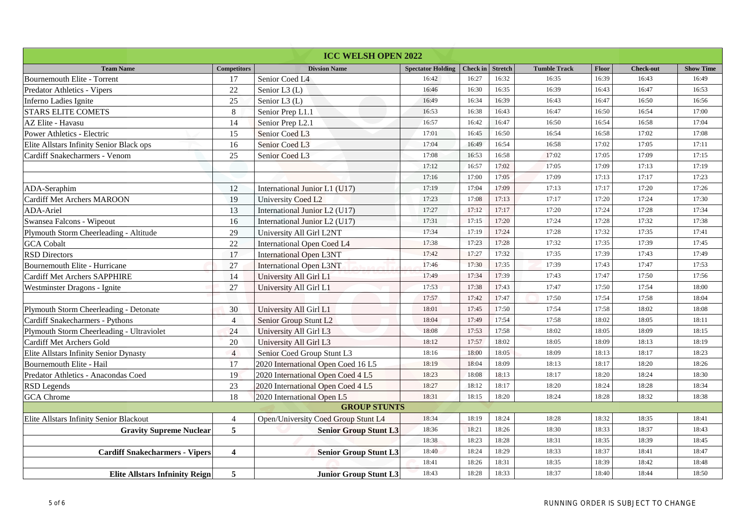| <b>ICC WELSH OPEN 2022</b>                |                         |                                     |                          |                  |       |                     |       |                  |                  |
|-------------------------------------------|-------------------------|-------------------------------------|--------------------------|------------------|-------|---------------------|-------|------------------|------------------|
| <b>Team Name</b>                          | <b>Competitors</b>      | <b>Divsion Name</b>                 | <b>Spectator Holding</b> | Check in Stretch |       | <b>Tumble Track</b> | Floor | <b>Check-out</b> | <b>Show Time</b> |
| Bournemouth Elite - Torrent               | 17                      | Senior Coed L4                      | 16:42                    | 16:27            | 16:32 | 16:35               | 16:39 | 16:43            | 16:49            |
| Predator Athletics - Vipers               | $22\,$                  | Senior L3 (L)                       | 16:46                    | 16:30            | 16:35 | 16:39               | 16:43 | 16:47            | 16:53            |
| Inferno Ladies Ignite                     | $25\,$                  | Senior L3 (L)                       | 16:49                    | 16:34            | 16:39 | 16:43               | 16:47 | 16:50            | 16:56            |
| <b>STARS ELITE COMETS</b>                 | $\,8\,$                 | Senior Prep L1.1                    | 16:53                    | 16:38            | 16:43 | 16:47               | 16:50 | 16:54            | 17:00            |
| AZ Elite - Havasu                         | 14                      | Senior Prep L2.1                    | 16:57                    | 16:42            | 16:47 | 16:50               | 16:54 | 16:58            | 17:04            |
| Power Athletics - Electric                | 15                      | Senior Coed L3                      | 17:01                    | 16:45            | 16:50 | 16:54               | 16:58 | 17:02            | 17:08            |
| Elite Allstars Infinity Senior Black ops  | 16                      | Senior Coed L3                      | 17:04                    | 16:49            | 16:54 | 16:58               | 17:02 | 17:05            | 17:11            |
| Cardiff Snakecharmers - Venom             | 25                      | Senior Coed L3                      | 17:08                    | 16:53            | 16:58 | 17:02               | 17:05 | 17:09            | 17:15            |
|                                           |                         |                                     | 17:12                    | 16:57            | 17:02 | 17:05               | 17:09 | 17:13            | 17:19            |
|                                           |                         |                                     | 17:16                    | 17:00            | 17:05 | 17:09               | 17:13 | 17:17            | 17:23            |
| ADA-Seraphim                              | 12                      | International Junior L1 (U17)       | 17:19                    | 17:04            | 17:09 | 17:13               | 17:17 | 17:20            | 17:26            |
| <b>Cardiff Met Archers MAROON</b>         | 19                      | University Coed L2                  | 17:23                    | 17:08            | 17:13 | 17:17               | 17:20 | 17:24            | 17:30            |
| <b>ADA-Ariel</b>                          | 13                      | International Junior L2 (U17)       | 17:27                    | 17:12            | 17:17 | 17:20               | 17:24 | 17:28            | 17:34            |
| Swansea Falcons - Wipeout                 | 16                      | International Junior L2 (U17)       | 17:31                    | 17:15            | 17:20 | 17:24               | 17:28 | 17:32            | 17:38            |
| Plymouth Storm Cheerleading - Altitude    | 29                      | University All Girl L2NT            | 17:34                    | 17:19            | 17:24 | 17:28               | 17:32 | 17:35            | 17:41            |
| <b>GCA</b> Cobalt                         | 22                      | International Open Coed L4          | 17:38                    | 17:23            | 17:28 | 17:32               | 17:35 | 17:39            | 17:45            |
| <b>RSD Directors</b>                      | 17                      | <b>International Open L3NT</b>      | 17:42                    | 17:27            | 17:32 | 17:35               | 17:39 | 17:43            | 17:49            |
| Bournemouth Elite - Hurricane             | 27                      | <b>International Open L3NT</b>      | 17:46                    | 17:30            | 17:35 | 17:39               | 17:43 | 17:47            | 17:53            |
| <b>Cardiff Met Archers SAPPHIRE</b>       | 14                      | University All Girl L1              | 17:49                    | 17:34            | 17:39 | 17:43               | 17:47 | 17:50            | 17:56            |
| Westminster Dragons - Ignite              | 27                      | University All Girl L1              | 17:53                    | 17:38            | 17:43 | 17:47               | 17:50 | 17:54            | 18:00            |
|                                           |                         |                                     | 17:57                    | 17:42            | 17:47 | 17:50               | 17:54 | 17:58            | 18:04            |
| Plymouth Storm Cheerleading - Detonate    | 30                      | University All Girl L1              | 18:01                    | 17:45            | 17:50 | 17:54               | 17:58 | 18:02            | 18:08            |
| Cardiff Snakecharmers - Pythons           | $\overline{4}$          | Senior Group Stunt L2               | 18:04                    | 17:49            | 17:54 | 17:58               | 18:02 | 18:05            | 18:11            |
| Plymouth Storm Cheerleading - Ultraviolet | 24                      | University All Girl L3              | 18:08                    | 17:53            | 17:58 | 18:02               | 18:05 | 18:09            | 18:15            |
| Cardiff Met Archers Gold                  | 20                      | University All Girl L3              | 18:12                    | 17:57            | 18:02 | 18:05               | 18:09 | 18:13            | 18:19            |
| Elite Allstars Infinity Senior Dynasty    | $\overline{4}$          | Senior Coed Group Stunt L3          | 18:16                    | 18:00            | 18:05 | 18:09               | 18:13 | 18:17            | 18:23            |
| Bournemouth Elite - Hail                  | 17                      | 2020 International Open Coed 16 L5  | 18:19                    | 18:04            | 18:09 | 18:13               | 18:17 | 18:20            | 18:26            |
| Predator Athletics - Anacondas Coed       | 19                      | 2020 International Open Coed 4 L5   | 18:23                    | 18:08            | 18:13 | 18:17               | 18:20 | 18:24            | 18:30            |
| <b>RSD</b> Legends                        | 23                      | 2020 International Open Coed 4 L5   | 18:27                    | 18:12            | 18:17 | 18:20               | 18:24 | 18:28            | 18:34            |
| <b>GCA</b> Chrome                         | 18                      | 2020 International Open L5          | 18:31                    | 18:15            | 18:20 | 18:24               | 18:28 | 18:32            | 18:38            |
|                                           |                         | <b>GROUP STUNTS</b>                 |                          |                  |       |                     |       |                  |                  |
| Elite Allstars Infinity Senior Blackout   | $\overline{4}$          | Open/University Coed Group Stunt L4 | 18:34                    | 18:19            | 18:24 | 18:28               | 18:32 | 18:35            | 18:41            |
| <b>Gravity Supreme Nuclear</b>            | 5                       | <b>Senior Group Stunt L3</b>        | 18:36                    | 18:21            | 18:26 | 18:30               | 18:33 | 18:37            | 18:43            |
|                                           |                         |                                     | 18:38                    | 18:23            | 18:28 | 18:31               | 18:35 | 18:39            | 18:45            |
| <b>Cardiff Snakecharmers - Vipers</b>     | $\overline{\mathbf{4}}$ | <b>Senior Group Stunt L3</b>        | 18:40                    | 18:24            | 18:29 | 18:33               | 18:37 | 18:41            | 18:47            |
|                                           |                         |                                     | 18:41                    | 18:26            | 18:31 | 18:35               | 18:39 | 18:42            | 18:48            |
| <b>Elite Allstars Infninity Reign</b>     | 5                       | <b>Junior Group Stunt L3</b>        | 18:43                    | 18:28            | 18:33 | 18:37               | 18:40 | 18:44            | 18:50            |